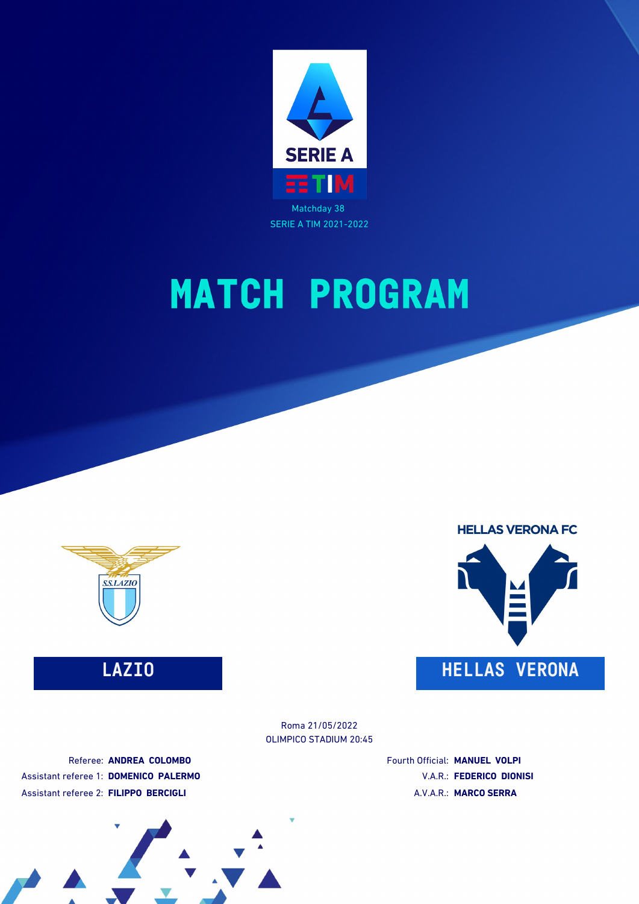



**HELLAS VERONA FC LAZIO HELLAS VERONA**

> OLIMPICO STADIUM 20:45 Roma 21/05/2022

Referee: **ANDREA COLOMBO** Assistant referee 1: **DOMENICO PALERMO** Assistant referee 2: **FILIPPO BERCIGLI**

Fourth Official: **MANUEL VOLPI** V.A.R.: **FEDERICO DIONISI** A.V.A.R.: **MARCO SERRA**

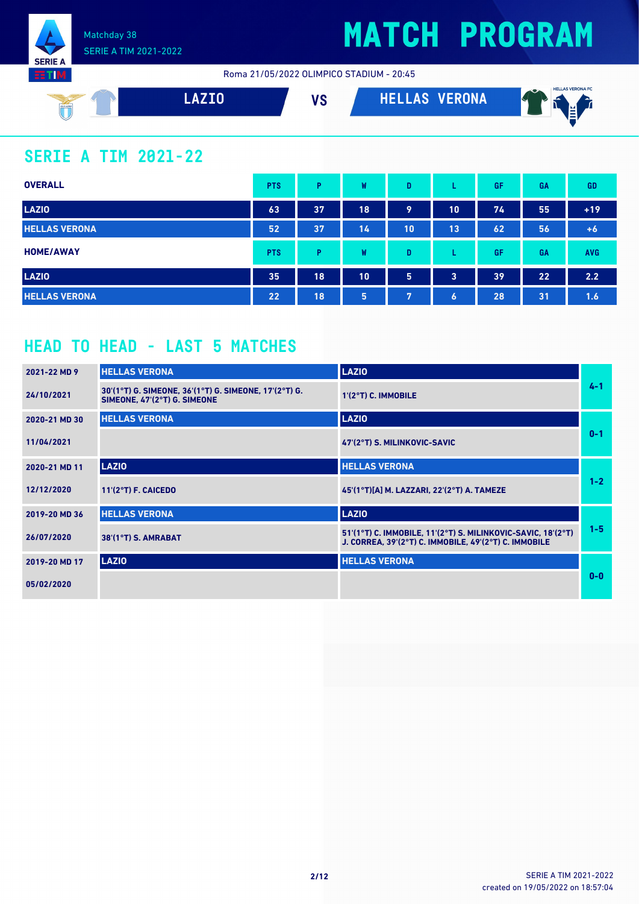

Roma 21/05/2022 OLIMPICO STADIUM - 20:45



#### **SERIE A TIM 2021-22**

| <b>OVERALL</b>       | <b>PTS</b> | P  | W  | D  |                  | GF | <b>GA</b> | <b>GD</b>  |
|----------------------|------------|----|----|----|------------------|----|-----------|------------|
| <b>LAZIO</b>         | 63         | 37 | 18 | 9  | 10               | 74 | 55        | $+19$      |
| <b>HELLAS VERONA</b> | 52         | 37 | 14 | 10 | 13               | 62 | 56        | $+6$       |
| <b>HOME/AWAY</b>     | <b>PTS</b> | Þ  | W  | D  |                  | GF | <b>GA</b> | <b>AVG</b> |
| <b>LAZIO</b>         | 35         | 18 | 10 | 5  | 3                | 39 | 22        | 2.2        |
| <b>HELLAS VERONA</b> | 22         | 18 | 5  | 7  | $\boldsymbol{6}$ | 28 | 31        | 1.6        |

#### **HEAD TO HEAD - LAST 5 MATCHES**

| 2021-22 MD 9  | <b>HELLAS VERONA</b>                                                                  | <b>LAZIO</b>                                                                                                          |         |
|---------------|---------------------------------------------------------------------------------------|-----------------------------------------------------------------------------------------------------------------------|---------|
| 24/10/2021    | 30'(1°T) G. SIMEONE, 36'(1°T) G. SIMEONE, 17'(2°T) G.<br>SIMEONE, 47'(2°T) G. SIMEONE | 1'(2°T) C. IMMOBILE                                                                                                   | $4 - 1$ |
| 2020-21 MD 30 | <b>HELLAS VERONA</b>                                                                  | <b>LAZIO</b>                                                                                                          |         |
| 11/04/2021    |                                                                                       | 47'(2°T) S. MILINKOVIC-SAVIC                                                                                          | $0 - 1$ |
| 2020-21 MD 11 | <b>LAZIO</b>                                                                          | <b>HELLAS VERONA</b>                                                                                                  |         |
| 12/12/2020    | 11'(2°T) F. CAICEDO                                                                   | 45'(1°T)[A] M. LAZZARI, 22'(2°T) A. TAMEZE                                                                            | $1 - 2$ |
| 2019-20 MD 36 | <b>HELLAS VERONA</b>                                                                  | <b>LAZIO</b>                                                                                                          |         |
| 26/07/2020    | 38'(1°T) S. AMRABAT                                                                   | 51'(1°T) C. IMMOBILE, 11'(2°T) S. MILINKOVIC-SAVIC, 18'(2°T)<br>J. CORREA, 39'(2°T) C. IMMOBILE, 49'(2°T) C. IMMOBILE | $1 - 5$ |
| 2019-20 MD 17 | <b>LAZIO</b>                                                                          | <b>HELLAS VERONA</b>                                                                                                  |         |
| 05/02/2020    |                                                                                       |                                                                                                                       | $0 - 0$ |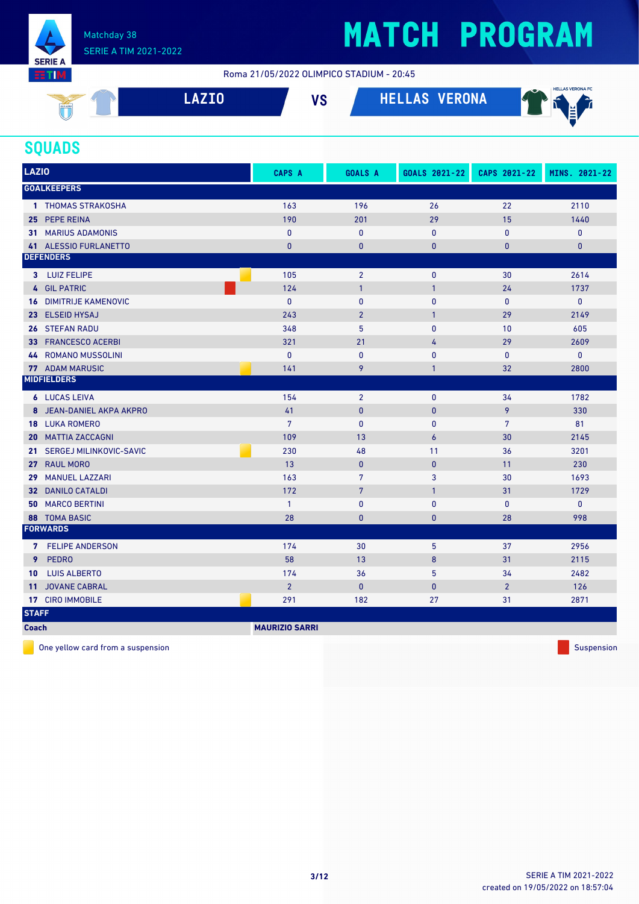

#### Roma 21/05/2022 OLIMPICO STADIUM - 20:45

| SSLAZIO<br>$\mathcal{L}$ | 7TN | 11 A | VERONA | <b>HELLAS VERONA FC</b><br>$\rightarrow$<br>A4F<br>. . |
|--------------------------|-----|------|--------|--------------------------------------------------------|
|                          |     |      |        |                                                        |

#### **SQUADS**

| <b>LAZIO</b>                  | CAPS A                | <b>GOALS A</b>  | GOALS 2021-22  | CAPS 2021-22   | MINS. 2021-22 |
|-------------------------------|-----------------------|-----------------|----------------|----------------|---------------|
| <b>GOALKEEPERS</b>            |                       |                 |                |                |               |
| 1 THOMAS STRAKOSHA            | 163                   | 196             | 26             | 22             | 2110          |
| 25 PEPE REINA                 | 190                   | 201             | 29             | 15             | 1440          |
| <b>31 MARIUS ADAMONIS</b>     | $\mathbf{0}$          | $\mathbf{0}$    | $\mathbf{0}$   | 0              | 0             |
| 41 ALESSIO FURLANETTO         | $\mathbf{0}$          | $\bf{0}$        | $\mathbf{0}$   | 0              | $\mathbf{0}$  |
| <b>DEFENDERS</b>              |                       |                 |                |                |               |
| 3 LUIZ FELIPE                 | 105                   | $\overline{2}$  | $\mathbf{0}$   | 30             | 2614          |
| 4 GIL PATRIC                  | 124                   | $\mathbf{1}$    | $\mathbf{1}$   | 24             | 1737          |
| <b>16 DIMITRIJE KAMENOVIC</b> | $\mathbf{0}$          | $\mathbf{0}$    | $\mathbf{0}$   | $\mathbf{0}$   | 0             |
| 23 ELSEID HYSAJ               | 243                   | $\overline{2}$  | $\mathbf{1}$   | 29             | 2149          |
| 26 STEFAN RADU                | 348                   | 5               | $\mathbf{0}$   | 10             | 605           |
| <b>FRANCESCO ACERBI</b><br>33 | 321                   | 21              | 4              | 29             | 2609          |
| 44 ROMANO MUSSOLINI           | $\mathbf{0}$          | $\mathbf{0}$    | $\pmb{0}$      | 0              | 0             |
| <b>77 ADAM MARUSIC</b>        | 141                   | 9               | $\mathbf{1}$   | 32             | 2800          |
| <b>MIDFIELDERS</b>            |                       |                 |                |                |               |
| <b>6</b> LUCAS LEIVA          | 154                   | $\overline{2}$  | $\mathbf{0}$   | 34             | 1782          |
| JEAN-DANIEL AKPA AKPRO<br>8   | 41                    | $\pmb{0}$       | $\mathbf{0}$   | 9              | 330           |
| <b>18 LUKA ROMERO</b>         | $7\overline{ }$       | $\mathbf{0}$    | $\mathbf{0}$   | $\overline{7}$ | 81            |
| <b>MATTIA ZACCAGNI</b><br>20  | 109                   | 13              | $\overline{6}$ | 30             | 2145          |
| 21 SERGEJ MILINKOVIC-SAVIC    | 230                   | 48              | 11             | 36             | 3201          |
| 27 RAUL MORO                  | 13                    | $\pmb{0}$       | $\mathbf{0}$   | 11             | 230           |
| <b>MANUEL LAZZARI</b><br>29   | 163                   | $7\phantom{.0}$ | 3              | 30             | 1693          |
| <b>32 DANILO CATALDI</b>      | 172                   | $\overline{7}$  | $\mathbf{1}$   | 31             | 1729          |
| <b>50 MARCO BERTINI</b>       | $\mathbf{1}$          | $\mathbf{0}$    | $\mathbf{0}$   | $\mathbf{0}$   | 0             |
| 88 TOMA BASIC                 | 28                    | $\bf{0}$        | $\pmb{0}$      | 28             | 998           |
| <b>FORWARDS</b>               |                       |                 |                |                |               |
| 7 FELIPE ANDERSON             | 174                   | 30              | 5              | 37             | 2956          |
| <b>PEDRO</b><br>9             | 58                    | 13              | 8              | 31             | 2115          |
| <b>LUIS ALBERTO</b><br>10     | 174                   | 36              | 5              | 34             | 2482          |
| <b>JOVANE CABRAL</b><br>11    | $\overline{2}$        | $\mathbf{0}$    | $\mathbf{0}$   | $\overline{2}$ | 126           |
| 17 CIRO IMMOBILE              | 291                   | 182             | 27             | 31             | 2871          |
| <b>STAFF</b>                  |                       |                 |                |                |               |
| <b>Coach</b>                  | <b>MAURIZIO SARRI</b> |                 |                |                |               |

One yellow card from a suspension Suspension Suspension Suspension Suspension Suspension Suspension Suspension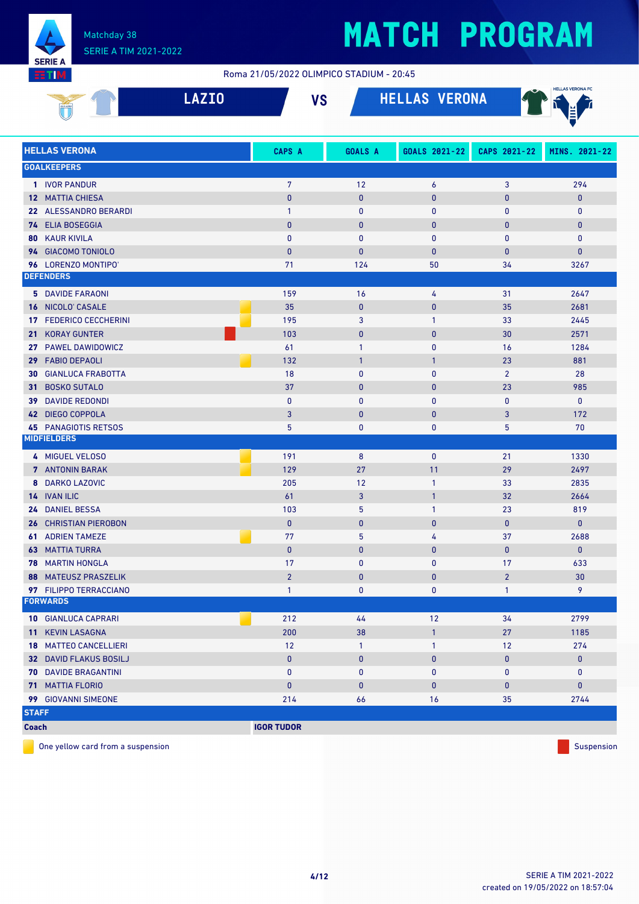

#### Roma 21/05/2022 OLIMPICO STADIUM - 20:45

|                 |                               | <b>LAZIO</b> | <b>VS</b>         |                | <b>HELLAS VERONA</b> |                | <b>HELLAS VERONA FC</b> |
|-----------------|-------------------------------|--------------|-------------------|----------------|----------------------|----------------|-------------------------|
|                 | <b>HELLAS VERONA</b>          |              | <b>CAPS A</b>     | <b>GOALS A</b> | GOALS 2021-22        | CAPS 2021-22   | MINS. 2021-22           |
|                 | <b>GOALKEEPERS</b>            |              |                   |                |                      |                |                         |
|                 | 1 IVOR PANDUR                 |              | $\overline{7}$    | 12             | $\boldsymbol{6}$     | 3              | 294                     |
|                 | <b>12 MATTIA CHIESA</b>       |              | $\mathbf{0}$      | $\bf{0}$       | $\mathbf{0}$         | $\mathbf{0}$   | $\pmb{0}$               |
|                 | 22 ALESSANDRO BERARDI         |              | $\mathbf{1}$      | $\mathbf{0}$   | $\mathbf{0}$         | $\mathbf{0}$   | $\mathbf{0}$            |
|                 | 74 ELIA BOSEGGIA              |              | $\mathbf{0}$      | $\mathbf{0}$   | $\mathbf{0}$         | $\mathbf{0}$   | $\mathbf{0}$            |
|                 | <b>80 KAUR KIVILA</b>         |              | $\mathbf{0}$      | $\mathbf{0}$   | $\mathbf{0}$         | $\mathbf{0}$   | $\pmb{0}$               |
|                 | 94 GIACOMO TONIOLO            |              | $\mathbf{0}$      | $\mathbf{0}$   | $\mathbf{0}$         | $\mathbf{0}$   | $\mathbf{0}$            |
|                 | 96 LORENZO MONTIPO'           |              | 71                | 124            | 50                   | 34             | 3267                    |
|                 | <b>DEFENDERS</b>              |              |                   |                |                      |                |                         |
|                 | <b>5 DAVIDE FARAONI</b>       |              | 159               | 16             | 4                    | 31             | 2647                    |
| 16              | NICOLO' CASALE                |              | 35                | $\pmb{0}$      | $\pmb{0}$            | 35             | 2681                    |
| 17              | <b>FEDERICO CECCHERINI</b>    |              | 195               | 3              | $\mathbf{1}$         | 33             | 2445                    |
| 21 <sup>2</sup> | <b>KORAY GUNTER</b>           |              | 103               | $\mathbf{0}$   | $\mathbf{0}$         | 30             | 2571                    |
| 27              | <b>PAWEL DAWIDOWICZ</b>       |              | 61                | 1              | 0                    | 16             | 1284                    |
| 29 <sup>°</sup> | <b>FABIO DEPAOLI</b>          |              | 132               | $\mathbf{1}$   | $\mathbf{1}$         | 23             | 881                     |
| 30              | <b>GIANLUCA FRABOTTA</b>      |              | 18                | $\mathbf{0}$   | $\mathbf{0}$         | $\overline{2}$ | 28                      |
| 31              | <b>BOSKO SUTALO</b>           |              | 37                | $\mathbf{0}$   | $\pmb{0}$            | 23             | 985                     |
| 39              | <b>DAVIDE REDONDI</b>         |              | $\mathbf{0}$      | $\mathbf{0}$   | $\mathbf 0$          | $\mathbf{0}$   | $\mathbf 0$             |
| 42              | <b>DIEGO COPPOLA</b>          |              | 3                 | $\mathbf{0}$   | $\mathbf{0}$         | 3              | 172                     |
|                 | <b>45 PANAGIOTIS RETSOS</b>   |              | 5                 | $\mathbf{0}$   | $\mathbf 0$          | 5              | 70                      |
|                 | <b>MIDFIELDERS</b>            |              |                   |                |                      |                |                         |
|                 | 4 MIGUEL VELOSO               |              | 191               | 8              | $\mathbf 0$          | 21             | 1330                    |
|                 | 7 ANTONIN BARAK               |              | 129               | 27             | 11                   | 29             | 2497                    |
|                 | 8 DARKO LAZOVIC               |              | 205               | 12             | $\mathbf{1}$         | 33             | 2835                    |
|                 | 14 IVAN ILIC                  |              | 61                | 3              | $\mathbf{1}$         | 32             | 2664                    |
| 24              | <b>DANIEL BESSA</b>           |              | 103               | 5              | $\mathbf{1}$         | 23             | 819                     |
| 26              | <b>CHRISTIAN PIEROBON</b>     |              | $\mathbf{0}$      | $\mathbf{0}$   | $\mathbf{0}$         | $\mathbf{0}$   | $\mathbf{0}$            |
| 61              | <b>ADRIEN TAMEZE</b>          |              | 77                | 5              | 4                    | 37             | 2688                    |
|                 | <b>63 MATTIA TURRA</b>        |              | $\mathbf{0}$      | $\mathbf{0}$   | $\mathbf{0}$         | $\mathbf{0}$   | $\mathbf{0}$            |
|                 | <b>78 MARTIN HONGLA</b>       |              | 17                | $\pmb{0}$      | 0                    | 17             | 633                     |
|                 | <b>88 MATEUSZ PRASZELIK</b>   |              | $\overline{2}$    | $\mathbf{0}$   | $\bf{0}$             | $\overline{2}$ | 30                      |
|                 | 97 FILIPPO TERRACCIANO        |              | $\mathbf{1}$      | 0              | 0                    | $\mathbf{1}$   | 9                       |
|                 | <b>FORWARDS</b>               |              |                   |                |                      |                |                         |
|                 | <b>10 GIANLUCA CAPRARI</b>    |              | 212               | 44             | 12                   | 34             | 2799                    |
|                 | 11 KEVIN LASAGNA              |              | 200               | 38             | $\mathbf{1}$         | 27             | 1185                    |
|                 | <b>18 MATTEO CANCELLIERI</b>  |              | 12                | $\mathbf{1}$   | $\mathbf{1}$         | 12             | 274                     |
|                 | <b>32 DAVID FLAKUS BOSILJ</b> |              | $\mathbf{0}$      | $\mathbf{0}$   | $\mathbf{0}$         | $\mathbf{0}$   | $\mathbf{0}$            |
|                 | <b>70 DAVIDE BRAGANTINI</b>   |              | $\mathbf 0$       | 0              | $\mathbf 0$          | 0              | $\bf{0}$                |
|                 | <b>71 MATTIA FLORIO</b>       |              | $\mathbf{0}$      | $\mathbf{0}$   | $\bf{0}$             | $\mathbf{0}$   | $\mathbf{0}$            |
|                 | 99 GIOVANNI SIMEONE           |              | 214               | 66             | 16                   | 35             | 2744                    |
| <b>STAFF</b>    |                               |              |                   |                |                      |                |                         |
| <b>Coach</b>    |                               |              | <b>IGOR TUDOR</b> |                |                      |                |                         |

One yellow card from a suspension  $\Box$  Suspension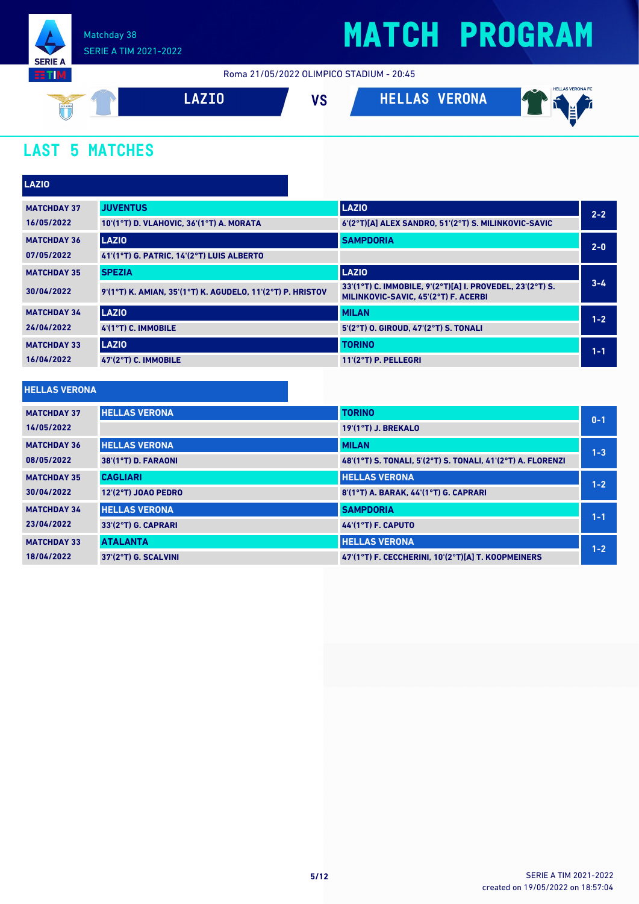

Roma 21/05/2022 OLIMPICO STADIUM - 20:45



### **LAST 5 MATCHES**

| <b>LAZIO</b>       |                                                            |                                                                                                   |         |
|--------------------|------------------------------------------------------------|---------------------------------------------------------------------------------------------------|---------|
| <b>MATCHDAY 37</b> | <b>JUVENTUS</b>                                            | <b>LAZIO</b>                                                                                      | $2 - 2$ |
| 16/05/2022         | 10'(1°T) D. VLAHOVIC, 36'(1°T) A. MORATA                   | 6'(2°T)[A] ALEX SANDRO, 51'(2°T) S. MILINKOVIC-SAVIC                                              |         |
| <b>MATCHDAY 36</b> | <b>LAZIO</b>                                               | <b>SAMPDORIA</b>                                                                                  | $2 - 0$ |
| 07/05/2022         | 41'(1°T) G. PATRIC, 14'(2°T) LUIS ALBERTO                  |                                                                                                   |         |
| <b>MATCHDAY 35</b> | <b>SPEZIA</b>                                              | <b>LAZIO</b>                                                                                      |         |
| 30/04/2022         | 9'(1°T) K. AMIAN, 35'(1°T) K. AGUDELO, 11'(2°T) P. HRISTOV | 33'(1°T) C. IMMOBILE, 9'(2°T)[A] I. PROVEDEL, 23'(2°T) S.<br>MILINKOVIC-SAVIC, 45'(2°T) F. ACERBI | $3 - 4$ |
| <b>MATCHDAY 34</b> | <b>LAZIO</b>                                               | <b>MILAN</b>                                                                                      | $1 - 2$ |
| 24/04/2022         | 4'(1°T) C. IMMOBILE                                        | 5'(2°T) O. GIROUD, 47'(2°T) S. TONALI                                                             |         |
| <b>MATCHDAY 33</b> | <b>LAZIO</b>                                               | <b>TORINO</b>                                                                                     | $1 - 1$ |
| 16/04/2022         | 47'(2°T) C. IMMOBILE                                       | $11'(2°T)$ P. PELLEGRI                                                                            |         |
|                    |                                                            |                                                                                                   |         |

#### **HELLAS VERONA**

| <b>MATCHDAY 37</b> | <b>HELLAS VERONA</b> | <b>TORINO</b>                                               | $0 - 1$ |
|--------------------|----------------------|-------------------------------------------------------------|---------|
| 14/05/2022         |                      | <b>19'(1°T) J. BREKALO</b>                                  |         |
| <b>MATCHDAY 36</b> | <b>HELLAS VERONA</b> | <b>MILAN</b>                                                | $1 - 3$ |
| 08/05/2022         | 38'(1°T) D. FARAONI  | 48'(1°T) S. TONALI, 5'(2°T) S. TONALI, 41'(2°T) A. FLORENZI |         |
| <b>MATCHDAY 35</b> | <b>CAGLIARI</b>      | <b>HELLAS VERONA</b>                                        | $1 - 2$ |
| 30/04/2022         | 12'(2°T) JOAO PEDRO  | 8'(1°T) A. BARAK. 44'(1°T) G. CAPRARI                       |         |
| <b>MATCHDAY 34</b> | <b>HELLAS VERONA</b> | <b>SAMPDORIA</b>                                            | $1 - 1$ |
| 23/04/2022         | 33'(2°T) G. CAPRARI  | <b>44'(1°T) F. CAPUTO</b>                                   |         |
| <b>MATCHDAY 33</b> | <b>ATALANTA</b>      | <b>HELLAS VERONA</b>                                        | $1 - 2$ |
| 18/04/2022         | 37'(2°T) G. SCALVINI | 47'(1°T) F. CECCHERINI. 10'(2°T)[A] T. KOOPMEINERS          |         |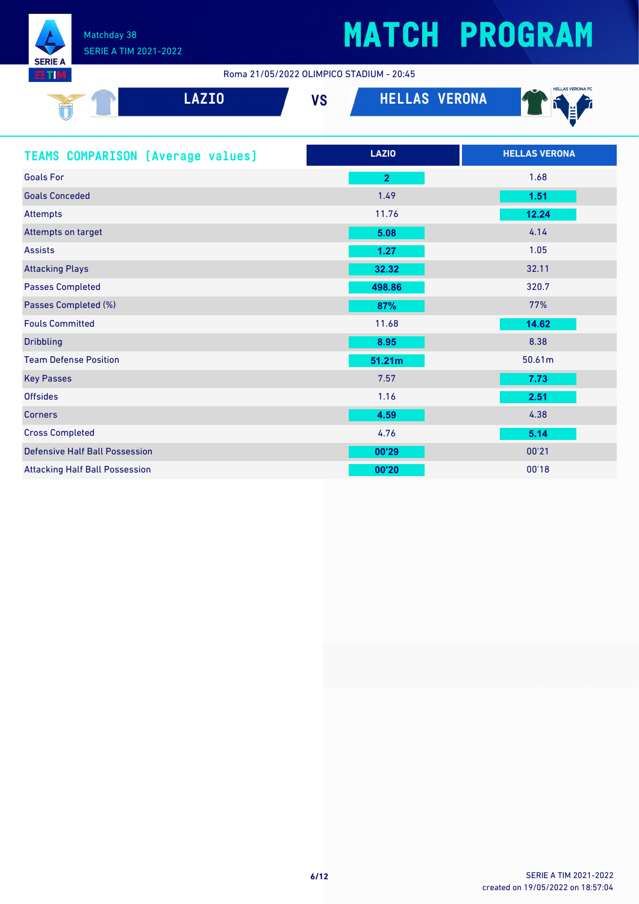

Roma 21/05/2022 OLIMPICO STADIUM - 20:45

| <b>LAZIO</b><br>SSLAZIO                  | <b>HELLAS VERONA</b><br><b>VS</b> | <b>HELLAS VERONA FC</b> |
|------------------------------------------|-----------------------------------|-------------------------|
| <b>TEAMS COMPARISON (Average values)</b> | <b>LAZIO</b>                      | <b>HELLAS VERONA</b>    |
| <b>Goals For</b>                         | $\overline{2}$                    | 1.68                    |
| <b>Goals Conceded</b>                    | 1.49                              | 1.51                    |
| <b>Attempts</b>                          | 11.76                             | 12.24                   |
| Attempts on target                       | 5.08                              | 4.14                    |
| <b>Assists</b>                           | 1.27                              | 1.05                    |
| <b>Attacking Plays</b>                   | 32.32                             | 32.11                   |
| <b>Passes Completed</b>                  | 498.86                            | 320.7                   |
| Passes Completed (%)                     | 87%                               | 77%                     |
| <b>Fouls Committed</b>                   | 11.68                             | 14.62                   |
| <b>Dribbling</b>                         | 8.95                              | 8.38                    |
| <b>Team Defense Position</b>             | 51.21m                            | 50.61m                  |
| <b>Key Passes</b>                        | 7.57                              | 7.73                    |

| <b>Key Passes</b>                     | 7.57  | 7.73  |
|---------------------------------------|-------|-------|
| <b>Offsides</b>                       | 1.16  | 2.51  |
| <b>Corners</b>                        | 4.59  | 4.38  |
| <b>Cross Completed</b>                | 4.76  | 5.14  |
| <b>Defensive Half Ball Possession</b> | 00'29 | 00'21 |
| <b>Attacking Half Ball Possession</b> | 00'20 | 00'18 |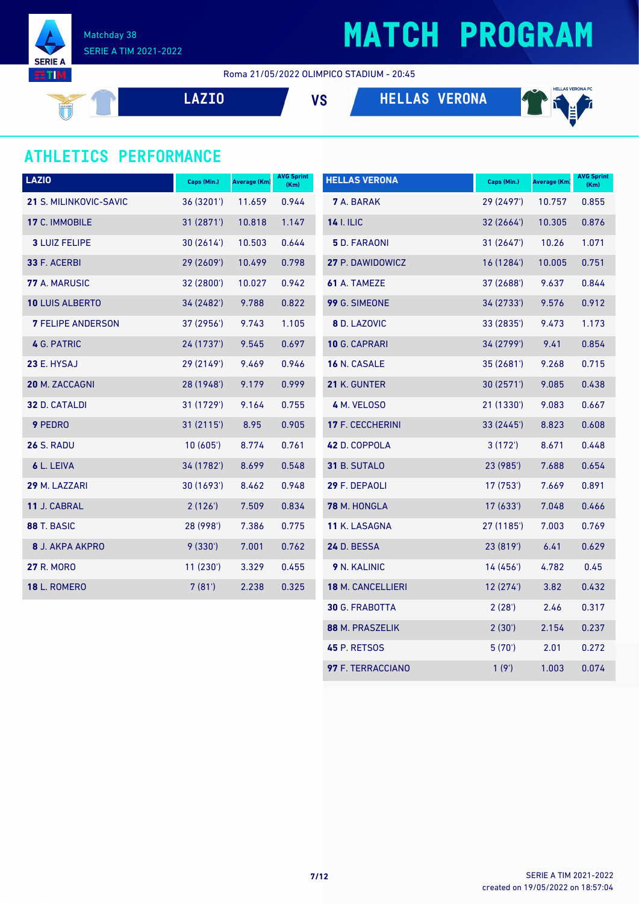

Roma 21/05/2022 OLIMPICO STADIUM - 20:45

**LAZIO VS HELLAS VERONA**



### **ATHLETICS PERFORMANCE**

| <b>LAZIO</b>             | Caps (Min.) | Average (Km) | <b>AVG Sprint</b><br>(Km) | <b>HELLAS VERONA</b>  | Caps (Min.) | <b>Average (Km)</b> | <b>AVG Sprint</b><br>(Km) |
|--------------------------|-------------|--------------|---------------------------|-----------------------|-------------|---------------------|---------------------------|
| 21 S. MILINKOVIC-SAVIC   | 36 (3201')  | 11.659       | 0.944                     | <b>7</b> A. BARAK     | 29 (2497')  | 10.757              | 0.855                     |
| 17 C. IMMOBILE           | 31(2871)    | 10.818       | 1.147                     | <b>14 I. ILIC</b>     | 32 (2664')  | 10.305              | 0.876                     |
| <b>3 LUIZ FELIPE</b>     | 30(2614)    | 10.503       | 0.644                     | <b>5</b> D. FARAONI   | 31(2647)    | 10.26               | 1.071                     |
| 33 F. ACERBI             | 29 (2609')  | 10.499       | 0.798                     | 27 P. DAWIDOWICZ      | 16 (1284')  | 10.005              | 0.751                     |
| 77 A. MARUSIC            | 32 (2800')  | 10.027       | 0.942                     | 61 A. TAMEZE          | 37 (2688')  | 9.637               | 0.844                     |
| 10 LUIS ALBERTO          | 34 (2482')  | 9.788        | 0.822                     | 99 G. SIMEONE         | 34 (2733')  | 9.576               | 0.912                     |
| <b>7 FELIPE ANDERSON</b> | 37 (2956')  | 9.743        | 1.105                     | 8 D. LAZOVIC          | 33 (2835')  | 9.473               | 1.173                     |
| 4 G. PATRIC              | 24 (1737')  | 9.545        | 0.697                     | 10 G. CAPRARI         | 34 (2799')  | 9.41                | 0.854                     |
| 23 E. HYSAJ              | 29 (2149')  | 9.469        | 0.946                     | 16 N. CASALE          | 35 (2681')  | 9.268               | 0.715                     |
| 20 M. ZACCAGNI           | 28 (1948')  | 9.179        | 0.999                     | 21 K. GUNTER          | 30(2571)    | 9.085               | 0.438                     |
| 32 D. CATALDI            | 31 (1729')  | 9.164        | 0.755                     | 4 M. VELOSO           | 21 (1330')  | 9.083               | 0.667                     |
| 9 PEDRO                  | 31(2115)    | 8.95         | 0.905                     | 17 F. CECCHERINI      | 33 (2445')  | 8.823               | 0.608                     |
| <b>26 S. RADU</b>        | 10(605)     | 8.774        | 0.761                     | 42 D. COPPOLA         | 3(172)      | 8.671               | 0.448                     |
| 6 L. LEIVA               | 34 (1782')  | 8.699        | 0.548                     | 31 B. SUTALO          | 23 (985')   | 7.688               | 0.654                     |
| 29 M. LAZZARI            | 30 (1693')  | 8.462        | 0.948                     | 29 F. DEPAOLI         | 17 (753')   | 7.669               | 0.891                     |
| 11 J. CABRAL             | 2(126)      | 7.509        | 0.834                     | 78 M. HONGLA          | 17 (633')   | 7.048               | 0.466                     |
| 88 T. BASIC              | 28 (998')   | 7.386        | 0.775                     | 11 K. LASAGNA         | 27 (1185')  | 7.003               | 0.769                     |
| 8 J. AKPA AKPRO          | 9(330)      | 7.001        | 0.762                     | 24 D. BESSA           | 23 (819')   | 6.41                | 0.629                     |
| <b>27 R. MORO</b>        | 11(230')    | 3.329        | 0.455                     | 9 N. KALINIC          | 14(456)     | 4.782               | 0.45                      |
| <b>18 L. ROMERO</b>      | 7(81)       | 2.238        | 0.325                     | 18 M. CANCELLIERI     | 12(274)     | 3.82                | 0.432                     |
|                          |             |              |                           | <b>30 G. FRABOTTA</b> | 2(28')      | 2.46                | 0.317                     |
|                          |             |              |                           | 88 M. PRASZELIK       | 2(30')      | 2.154               | 0.237                     |
|                          |             |              |                           | <b>45 P. RETSOS</b>   | 5(70)       | 2.01                | 0.272                     |

F. TERRACCIANO 1 (9') 1.003 0.074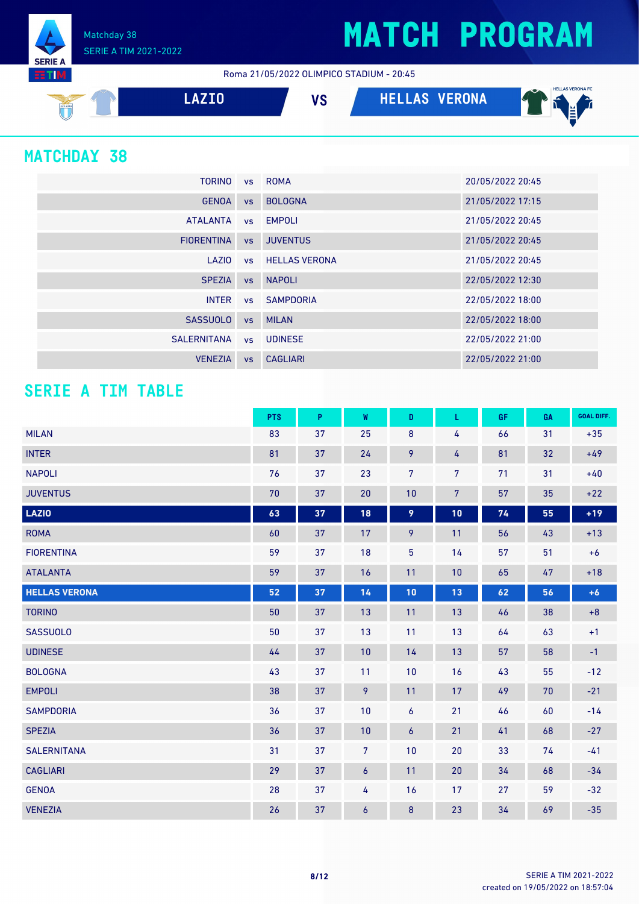Matchday 38 SERIE A TIM 2021-2022

Roma 21/05/2022 OLIMPICO STADIUM - 20:45



#### **MATCHDAY 38**

**SERIE A RTM** 

| <b>TORINO</b>     |           | vs ROMA                 | 20/05/2022 20:45 |
|-------------------|-----------|-------------------------|------------------|
| <b>GENOA</b>      | <b>VS</b> | <b>BOLOGNA</b>          | 21/05/2022 17:15 |
| <b>ATALANTA</b>   |           | vs EMPOLI               | 21/05/2022 20:45 |
| <b>FIORENTINA</b> | VS        | <b>JUVENTUS</b>         | 21/05/2022 20:45 |
| LAZIO             |           | <b>vs</b> HELLAS VERONA | 21/05/2022 20:45 |
| <b>SPEZIA</b>     |           | vs NAPOLI               | 22/05/2022 12:30 |
| <b>INTER</b>      |           | vs SAMPDORIA            | 22/05/2022 18:00 |
| <b>SASSUOLO</b>   | <b>VS</b> | <b>MILAN</b>            | 22/05/2022 18:00 |
| SALERNITANA       | <b>VS</b> | <b>UDINESE</b>          | 22/05/2022 21:00 |
| <b>VENEZIA</b>    | <b>VS</b> | CAGLIARI                | 22/05/2022 21:00 |

#### **SERIE A TIM TABLE**

|                      | <b>PTS</b> | P  | W              | D              | L              | GF | GA | <b>GOAL DIFF.</b> |
|----------------------|------------|----|----------------|----------------|----------------|----|----|-------------------|
| <b>MILAN</b>         | 83         | 37 | 25             | $\bf 8$        | 4              | 66 | 31 | $+35$             |
| <b>INTER</b>         | 81         | 37 | 24             | 9              | 4              | 81 | 32 | $+49$             |
| <b>NAPOLI</b>        | 76         | 37 | 23             | $\overline{7}$ | 7              | 71 | 31 | $+40$             |
| <b>JUVENTUS</b>      | 70         | 37 | 20             | 10             | $\overline{7}$ | 57 | 35 | $+22$             |
| <b>LAZIO</b>         | 63         | 37 | 18             | 9              | 10             | 74 | 55 | $+19$             |
| <b>ROMA</b>          | 60         | 37 | 17             | 9              | 11             | 56 | 43 | $+13$             |
| <b>FIORENTINA</b>    | 59         | 37 | 18             | 5              | 14             | 57 | 51 | $+6$              |
| <b>ATALANTA</b>      | 59         | 37 | 16             | 11             | 10             | 65 | 47 | $+18$             |
| <b>HELLAS VERONA</b> | 52         | 37 | 14             | 10             | 13             | 62 | 56 | $+6$              |
| <b>TORINO</b>        | 50         | 37 | 13             | 11             | 13             | 46 | 38 | $+8$              |
| <b>SASSUOLO</b>      | 50         | 37 | 13             | 11             | 13             | 64 | 63 | $+1$              |
| <b>UDINESE</b>       | 44         | 37 | 10             | 14             | 13             | 57 | 58 | $-1$              |
| <b>BOLOGNA</b>       | 43         | 37 | 11             | 10             | 16             | 43 | 55 | $-12$             |
| <b>EMPOLI</b>        | 38         | 37 | 9              | 11             | 17             | 49 | 70 | $-21$             |
| <b>SAMPDORIA</b>     | 36         | 37 | 10             | 6              | 21             | 46 | 60 | $-14$             |
| <b>SPEZIA</b>        | 36         | 37 | 10             | 6              | 21             | 41 | 68 | $-27$             |
| <b>SALERNITANA</b>   | 31         | 37 | 7              | 10             | 20             | 33 | 74 | $-41$             |
| <b>CAGLIARI</b>      | 29         | 37 | $\overline{6}$ | 11             | 20             | 34 | 68 | $-34$             |
| <b>GENOA</b>         | 28         | 37 | 4              | 16             | 17             | 27 | 59 | $-32$             |
| <b>VENEZIA</b>       | 26         | 37 | 6              | 8              | 23             | 34 | 69 | $-35$             |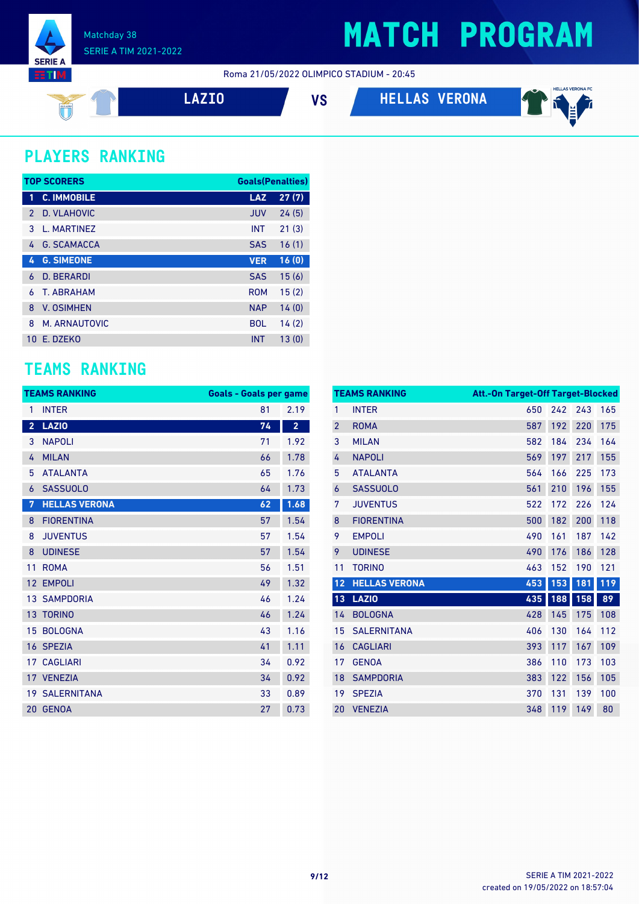

Roma 21/05/2022 OLIMPICO STADIUM - 20:45





#### **PLAYERS RANKING**

 $\frac{1}{\sqrt{2}}$ 

|               | <b>TOP SCORERS</b> | <b>Goals (Penalties)</b> |       |
|---------------|--------------------|--------------------------|-------|
| 1             | <b>C. IMMOBILE</b> | <b>LAZ</b>               | 27(7) |
| $\mathcal{P}$ | D. VLAHOVIC        | <b>JUV</b>               | 24(5) |
| 3             | L. MARTINEZ        | <b>INT</b>               | 21(3) |
| 4             | <b>G. SCAMACCA</b> | <b>SAS</b>               | 16(1) |
| 4             | <b>G. SIMEONE</b>  | <b>VER</b>               | 16(0) |
| 6             | <b>D. BERARDI</b>  | <b>SAS</b>               | 15(6) |
| 6             | <b>T. ABRAHAM</b>  | <b>ROM</b>               | 15(2) |
| 8             | <b>V. OSIMHEN</b>  | <b>NAP</b>               | 14(0) |
| 8             | M. ARNAUTOVIC      | <b>BOL</b>               | 14(2) |
| 10            | F. DZFKO           | <b>INT</b>               | 13(0) |

#### **TEAMS RANKING**

|                         | <b>TEAMS RANKING</b>  | <b>Goals - Goals per game</b> |                         |
|-------------------------|-----------------------|-------------------------------|-------------------------|
| 1                       | <b>INTER</b>          | 81                            | 2.19                    |
| $\overline{\mathbf{2}}$ | <b>LAZIO</b>          | 74                            | $\overline{\mathbf{2}}$ |
| 3                       | <b>NAPOLI</b>         | 71                            | 1.92                    |
| 4                       | <b>MILAN</b>          | 66                            | 1.78                    |
| 5                       | <b>ATALANTA</b>       | 65                            | 1.76                    |
| 6                       | <b>SASSUOLO</b>       | 64                            | 1.73                    |
| 7                       | <b>HELLAS VERONA</b>  | 62                            | 1.68                    |
| 8                       | <b>FIORENTINA</b>     | 57                            | 1.54                    |
| 8                       | <b>JUVENTUS</b>       | 57                            | 1.54                    |
| 8                       | <b>UDINESE</b>        | 57                            | 1.54                    |
| 11                      | <b>ROMA</b>           | 56                            | 1.51                    |
| 12                      | <b>EMPOLI</b>         | 49                            | 1.32                    |
|                         | <b>13 SAMPDORIA</b>   | 46                            | 1.24                    |
|                         | 13 TORINO             | 46                            | 1.24                    |
| 15                      | <b>BOLOGNA</b>        | 43                            | 1.16                    |
|                         | 16 SPEZIA             | 41                            | 1.11                    |
| 17                      | <b>CAGLIARI</b>       | 34                            | 0.92                    |
|                         | 17 VENEZIA            | 34                            | 0.92                    |
|                         | <b>19 SALERNITANA</b> | 33                            | 0.89                    |
|                         | 20 GENOA              | 27                            | 0.73                    |

|                | <b>TEAMS RANKING</b> | <b>Att.-On Target-Off Target-Blocked</b> |     |     |     |
|----------------|----------------------|------------------------------------------|-----|-----|-----|
| 1              | <b>INTER</b>         | 650                                      | 242 | 243 | 165 |
| $\overline{2}$ | <b>ROMA</b>          | 587                                      | 192 | 220 | 175 |
| 3              | <b>MILAN</b>         | 582                                      | 184 | 234 | 164 |
| 4              | <b>NAPOLI</b>        | 569                                      | 197 | 217 | 155 |
| 5              | <b>ATALANTA</b>      | 564                                      | 166 | 225 | 173 |
| 6              | <b>SASSUOLO</b>      | 561                                      | 210 | 196 | 155 |
| 7              | <b>JUVENTUS</b>      | 522                                      | 172 | 226 | 124 |
| $\bf 8$        | <b>FIORENTINA</b>    | 500                                      | 182 | 200 | 118 |
| 9              | <b>EMPOLI</b>        | 490                                      | 161 | 187 | 142 |
| 9              | <b>UDINESE</b>       | 490                                      | 176 | 186 | 128 |
| 11             | <b>TORINO</b>        | 463                                      | 152 | 190 | 121 |
| 12             | <b>HELLAS VERONA</b> | 453                                      | 153 | 181 | 119 |
| 13             | <b>LAZIO</b>         | 435                                      | 188 | 158 | 89  |
| 14             | <b>BOLOGNA</b>       | 428                                      | 145 | 175 | 108 |
| 15             | <b>SALERNITANA</b>   | 406                                      | 130 | 164 | 112 |
| 16             | <b>CAGLIARI</b>      | 393                                      | 117 | 167 | 109 |
| 17             | <b>GENOA</b>         | 386                                      | 110 | 173 | 103 |
| 18             | <b>SAMPDORIA</b>     | 383                                      | 122 | 156 | 105 |
| 19             | <b>SPEZIA</b>        | 370                                      | 131 | 139 | 100 |
| 20             | <b>VENEZIA</b>       | 348                                      | 119 | 149 | 80  |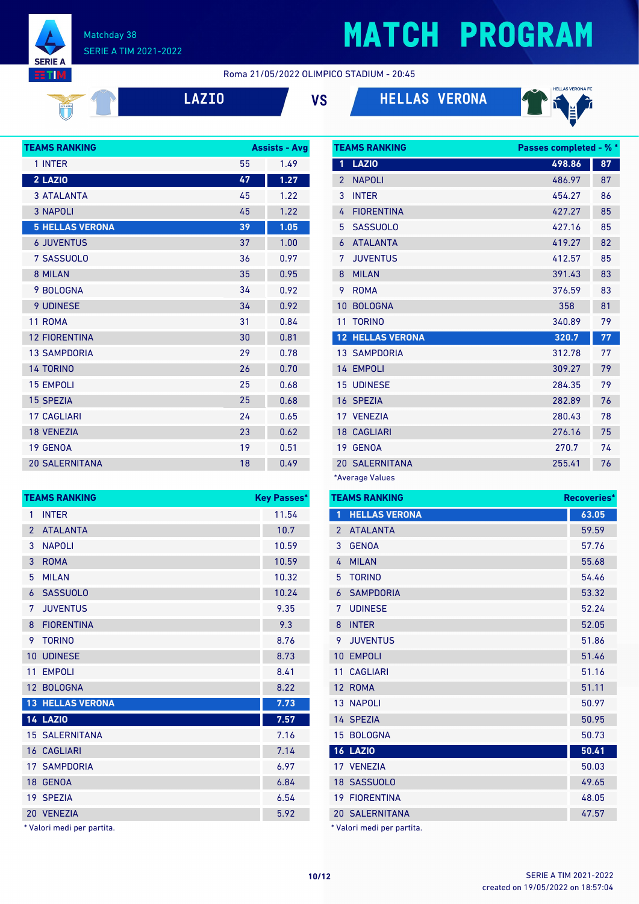Matchday 38 SERIE A TIM 2021-2022

**SERIE A** ETIM

### **MATCH PROGRAM**

Roma 21/05/2022 OLIMPICO STADIUM - 20:45

**LAZIO VS HELLAS VERONA**



| <b>TEAMS RANKING</b>   |    | <b>Assists - Avg</b> |
|------------------------|----|----------------------|
| 1 INTER                | 55 | 1.49                 |
| 2 LAZIO                | 47 | 1.27                 |
| <b>3 ATALANTA</b>      | 45 | 1.22                 |
| <b>3 NAPOLI</b>        | 45 | 1.22                 |
| <b>5 HELLAS VERONA</b> | 39 | 1.05                 |
| <b>6 JUVENTUS</b>      | 37 | 1.00                 |
| 7 SASSUOLO             | 36 | 0.97                 |
| 8 MILAN                | 35 | 0.95                 |
| 9 BOLOGNA              | 34 | 0.92                 |
| 9 UDINESE              | 34 | 0.92                 |
| 11 ROMA                | 31 | 0.84                 |
| <b>12 FIORENTINA</b>   | 30 | 0.81                 |
| <b>13 SAMPDORIA</b>    | 29 | 0.78                 |
| <b>14 TORINO</b>       | 26 | 0.70                 |
| <b>15 EMPOLI</b>       | 25 | 0.68                 |
| <b>15 SPEZIA</b>       | 25 | 0.68                 |
| <b>17 CAGI JARI</b>    | 24 | 0.65                 |
| <b>18 VENEZIA</b>      | 23 | 0.62                 |
| <b>19 GENOA</b>        | 19 | 0.51                 |
| <b>20 SALERNITANA</b>  | 18 | 0.49                 |

**TEAMS RANKING Key Passes\*** 1 INTER 11.54 ATALANTA 10.7 3 NAPOLI 10.59 ROMA 10.59 MILAN 10.32 SASSUOLO 10.24 JUVENTUS 9.35 8 FIORENTINA 9.3 TORINO 8.76 10 UDINESE 8.73 11 EMPOLI 8.41 12 BOLOGNA 8.22 **HELLAS VERONA 7.73 LAZIO 7.57** 15 SALERNITANA 7.16 16 CAGLIARI 7.14 17 SAMPDORIA 6.97 GENOA 6.84 SPEZIA 6.54

|                | <b>TEAMS RANKING</b>    | <b>Passes completed - % *</b> |    |
|----------------|-------------------------|-------------------------------|----|
| 1              | <b>LAZIO</b>            | 498.86                        | 87 |
| $\overline{2}$ | <b>NAPOLI</b>           | 486.97                        | 87 |
| 3              | <b>INTER</b>            | 454.27                        | 86 |
| 4              | <b>FIORENTINA</b>       | 427.27                        | 85 |
| 5              | <b>SASSUOLO</b>         | 427.16                        | 85 |
| 6              | <b>ATALANTA</b>         | 419.27                        | 82 |
| 7              | <b>JUVENTUS</b>         | 412.57                        | 85 |
| 8              | <b>MILAN</b>            | 391.43                        | 83 |
| 9              | <b>ROMA</b>             | 376.59                        | 83 |
| 10             | <b>BOLOGNA</b>          | 358                           | 81 |
| 11             | <b>TORINO</b>           | 340.89                        | 79 |
|                | <b>12 HELLAS VERONA</b> | 320.7                         | 77 |
|                | <b>13 SAMPDORIA</b>     | 312.78                        | 77 |
|                | 14 EMPOLI               | 309.27                        | 79 |
|                | <b>15 UDINESE</b>       | 284.35                        | 79 |
|                | 16 SPEZIA               | 282.89                        | 76 |
|                | 17 VENEZIA              | 280.43                        | 78 |
|                | <b>18 CAGLIARI</b>      | 276.16                        | 75 |
|                | 19 GENOA                | 270.7                         | 74 |
|                | <b>20 SALERNITANA</b>   | 255.41                        | 76 |
|                |                         |                               |    |

\*Average Values

|               | <b>TEAMS RANKING</b>  | Recoveries* |
|---------------|-----------------------|-------------|
| 1             | <b>HELLAS VERONA</b>  | 63.05       |
| $\mathcal{P}$ | <b>ATALANTA</b>       | 59.59       |
| 3             | <b>GENOA</b>          | 57.76       |
| 4             | <b>MILAN</b>          | 55.68       |
| 5             | <b>TORINO</b>         | 54.46       |
| 6             | <b>SAMPDORIA</b>      | 53.32       |
| 7             | <b>UDINESE</b>        | 52.24       |
| 8             | <b>INTER</b>          | 52.05       |
| 9             | <b>JUVENTUS</b>       | 51.86       |
|               | 10 EMPOLI             | 51.46       |
| 11            | <b>CAGLIARI</b>       | 51.16       |
|               | 12 ROMA               | 51.11       |
|               | <b>13 NAPOLI</b>      | 50.97       |
|               | 14 SPEZIA             | 50.95       |
|               | 15 BOLOGNA            | 50.73       |
|               | <b>16 LAZIO</b>       | 50.41       |
|               | 17 VENEZIA            | 50.03       |
|               | 18 SASSUOLO           | 49.65       |
|               | <b>19 FIORENTINA</b>  | 48.05       |
|               | <b>20 SALERNITANA</b> | 47.57       |
|               |                       |             |

\* Valori medi per partita.

| 20 VENEZIA                 | 5.92 |
|----------------------------|------|
| * Valori medi per partita. |      |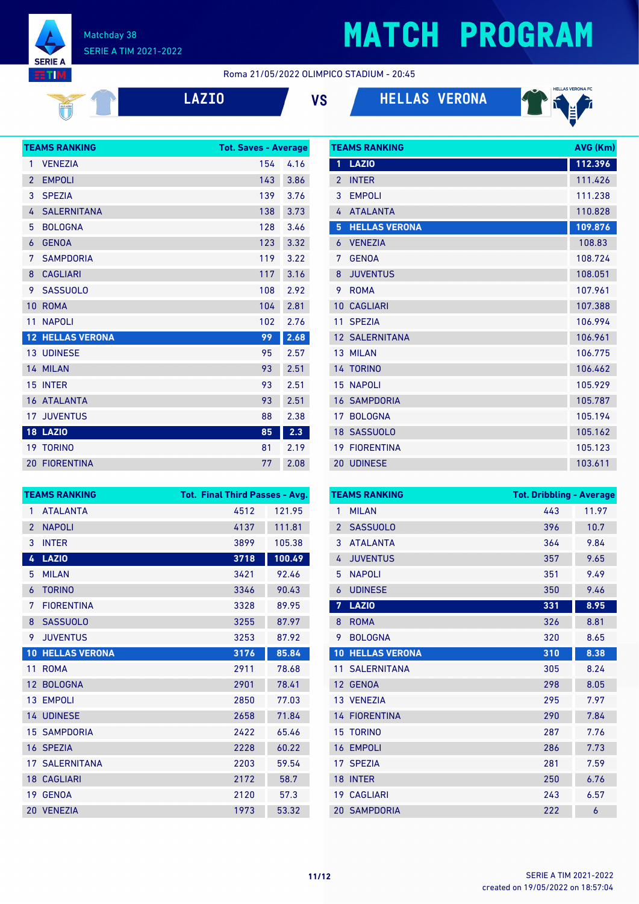

#### Roma 21/05/2022 OLIMPICO STADIUM - 20:45

|  | ÷. |  | ı |
|--|----|--|---|
|  |    |  |   |

**LAZIO VS HELLAS VERONA**

**TEAMS DANKING** 



|                 | <b>TEAMS RANKING</b>    | <b>Tot. Saves - Average</b> |      |
|-----------------|-------------------------|-----------------------------|------|
| 1               | <b>VENEZIA</b>          | 154                         | 4.16 |
| $\overline{2}$  | <b>EMPOLI</b>           | 143                         | 3.86 |
| 3               | <b>SPEZIA</b>           | 139                         | 3.76 |
| 4               | <b>SALERNITANA</b>      | 138                         | 3.73 |
| 5               | <b>BOLOGNA</b>          | 128                         | 3.46 |
| 6               | <b>GENOA</b>            | 123                         | 3.32 |
| 7               | <b>SAMPDORIA</b>        | 119                         | 3.22 |
| 8               | <b>CAGLIARI</b>         | 117                         | 3.16 |
| 9               | <b>SASSUOLO</b>         | 108                         | 2.92 |
| 10              | <b>ROMA</b>             | 104                         | 2.81 |
| 11              | <b>NAPOLI</b>           | 102                         | 2.76 |
|                 | <b>12 HELLAS VERONA</b> | 99                          | 2.68 |
|                 | <b>13 UDINESE</b>       | 95                          | 2.57 |
|                 | 14 MILAN                | 93                          | 2.51 |
|                 | 15 INTER                | 93                          | 2.51 |
|                 | <b>16 ATALANTA</b>      | 93                          | 2.51 |
| 17 <sup>2</sup> | <b>JUVENTUS</b>         | 88                          | 2.38 |
|                 | <b>18 LAZIO</b>         | 85                          | 2.3  |
|                 | <b>19 TORINO</b>        | 81                          | 2.19 |
|                 | <b>20 FIORENTINA</b>    | 77                          | 2.08 |

| 1              | <b>LAZIO</b>          | 112.396 |
|----------------|-----------------------|---------|
| $\overline{2}$ | <b>INTER</b>          | 111.426 |
| 3              | <b>EMPOLI</b>         | 111.238 |
| 4              | <b>ATALANTA</b>       | 110.828 |
| 5              | <b>HELLAS VERONA</b>  | 109.876 |
| 6              | <b>VENEZIA</b>        | 108.83  |
| 7              | <b>GENOA</b>          | 108.724 |
| 8              | <b>JUVENTUS</b>       | 108.051 |
| 9              | <b>ROMA</b>           | 107.961 |
| 10             | <b>CAGLIARI</b>       | 107.388 |
| 11             | <b>SPEZIA</b>         | 106.994 |
|                | <b>12 SALERNITANA</b> | 106.961 |
|                | 13 MILAN              | 106.775 |
|                | 14 TORINO             | 106.462 |
|                | <b>15 NAPOLI</b>      | 105.929 |
|                | <b>16 SAMPDORIA</b>   | 105.787 |
|                | 17 BOLOGNA            | 105.194 |
|                | 18 SASSUOLO           | 105.162 |
|                | <b>19 FIORENTINA</b>  | 105.123 |
|                | 20 UDINESE            | 103.611 |

| <b>TEAMS RANKING</b> |                       | <b>Tot. Final Third Passes - Avg.</b> |        |
|----------------------|-----------------------|---------------------------------------|--------|
| 1                    | <b>ATALANTA</b>       | 4512                                  | 121.95 |
| $\overline{2}$       | <b>NAPOLI</b>         | 4137                                  | 111.81 |
| 3                    | <b>INTER</b>          | 3899                                  | 105.38 |
| 4                    | <b>LAZIO</b>          | 3718                                  | 100.49 |
| 5                    | <b>MILAN</b>          | 3421                                  | 92.46  |
| 6                    | <b>TORINO</b>         | 3346                                  | 90.43  |
| 7                    | <b>FIORFNTINA</b>     | 3328                                  | 89.95  |
| 8                    | <b>SASSUOLO</b>       | 3255                                  | 87.97  |
| 9                    | <b>JUVENTUS</b>       | 3253                                  | 87.92  |
| 10                   | <b>HELLAS VERONA</b>  | 3176                                  | 85.84  |
| 11                   | <b>ROMA</b>           | 2911                                  | 78.68  |
| $12 \overline{ }$    | <b>BOLOGNA</b>        | 2901                                  | 78.41  |
|                      | 13 EMPOLI             | 2850                                  | 77.03  |
|                      | <b>14 UDINESE</b>     | 2658                                  | 71.84  |
|                      | <b>15 SAMPDORIA</b>   | 2422                                  | 65.46  |
|                      | 16 SPEZIA             | 2228                                  | 60.22  |
|                      | <b>17 SALERNITANA</b> | 2203                                  | 59.54  |
|                      | <b>18 CAGLIARI</b>    | 2172                                  | 58.7   |
| 19                   | <b>GENOA</b>          | 2120                                  | 57.3   |
| 20                   | <b>VENEZIA</b>        | 1973                                  | 53.32  |

| <b>TEAMS RANKING</b> |                       | <b>Tot. Dribbling - Average</b> |       |  |
|----------------------|-----------------------|---------------------------------|-------|--|
| 1                    | <b>MILAN</b>          | 443                             | 11.97 |  |
| $\overline{2}$       | <b>SASSUOLO</b>       | 396                             | 10.7  |  |
| 3                    | <b>ATALANTA</b>       | 364                             | 9.84  |  |
| 4                    | <b>JUVENTUS</b>       | 357                             | 9.65  |  |
| 5                    | <b>NAPOLI</b>         | 351                             | 9.49  |  |
| 6                    | <b>UDINESE</b>        | 350                             | 9.46  |  |
| 7                    | <b>LAZIO</b>          | 331                             | 8.95  |  |
| 8                    | <b>ROMA</b>           | 326                             | 8.81  |  |
| 9                    | <b>BOLOGNA</b>        | 320                             | 8.65  |  |
| 10 <sup>1</sup>      | <b>HELLAS VERONA</b>  | 310                             | 8.38  |  |
|                      | <b>11 SALERNITANA</b> | 305                             | 8.24  |  |
|                      | 12 GENOA              | 298                             | 8.05  |  |
|                      | 13 VENEZIA            | 295                             | 7.97  |  |
|                      | <b>14 FIORENTINA</b>  | 290                             | 7.84  |  |
|                      | <b>15 TORINO</b>      | 287                             | 7.76  |  |
| 16                   | <b>EMPOLI</b>         | 286                             | 7.73  |  |
| 17                   | <b>SPEZIA</b>         | 281                             | 7.59  |  |
| 18                   | <b>INTER</b>          | 250                             | 6.76  |  |
|                      | 19 CAGLIARI           | 243                             | 6.57  |  |
|                      | <b>20 SAMPDORIA</b>   | 222                             | 6     |  |